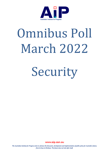

# Omnibus Poll March 2022

Security

www.aip.asn.au

The Australian Institute for Progress exists to advance the discussion, development and implementation of public policy for Australia's future, from its base in Brisbane. The future does not look after itself.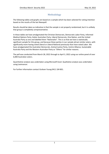# Methodology

The following tables and graphs are based on a sample which has been selected for voting intention based on the results of the last Newspoll.

Results should be taken as indicative in that the sample is not properly randomised, but it is unlikely that group is completely unrepresentative.

In these tables we have amalgamated the Christian Democrats, Democratic Labor Party, Informed Medical Options Party, Katter Australian Party, Liberal Democrats, One Nation, and the United Australia Party as one and labelled them "Nationalist". This is so that we have a statistically significant sample for this group, and because these parties in our sample attract similar voters, with significantly more having voted Liberal or Liberal National previously than have voted Labor. We have amalgamated the Australian Democrats, Animal Justice Party, Centre Alliance, Sustainable Australia Party and the Western Australian Party as "Others" for similar reasons.

The poll was conducted from March 28, 2022 through to April 3, 2022 using our online panel of over 6,000 Australian voters.

Quantitative analysis was undertaken using Microsoft Excel. Qualitative analysis was undertaken using Leximancer.

For further information contact Graham Young 0411 104 801.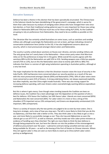# Executive Summary

Defence has been a theme in this election that has been sporadically enunciated. The Chinese base in the Solomon Islands has been destabilising of the government's campaign, which is worse for them than Labor because my analysis of swinging voters (those who have changed their vote since last election, or from their traditional voting patterns) says it is very important for those now voting Liberal or Nationalist (80% and 75%) but much less so for those voting ALP (35%). As the Coalition are going to rely on preferences from Nationalists, they need to be as credible as possible on this issue.

The Ukrainian War has certainly united Australians on some issues, such as sanctions and sending military aid, although surprisingly the Nationalists are not so keen, perhaps indicating a brand of conservative isolationism here (similar to the US). It has also heightened concerns about our security, which is most pronounced amongst Liberal voters and Nationalists.

The country is pretty united about sanctions on Russia over Ukraine, and also sending military aid. The only group that isn't overly keen is the Nationalists – those minor party voters that Morrison relies on for the preferences to keep him in the game. While overall the country agrees with the sanctions 89% to 6% the Nationalists are split 52% to 31%. Sending weapons was a little less popular overall (75% to 12%), but on this the Nationalists were close to evenly split (43% to 38%) This indicates that there is a version of right-wing isolationism operating in Australian politics, although at a very low level.

The major implication for the election is that the Ukrainian invasion raises the issue of security in the Indo-Pacific. 64% had become more concerned about our security position as a result of the war, with this most pronounced amongst Liberals (83%) and Nationalists (79%). 50% of Labor voters were more concerned as were 41% of Greens. A strong underlying theme, not always expressed explicitly, but often implicitly, was that China might invade Australia. There was also strong support for increasing defence spending, with even Greens voters overwhelmingly wanting defence expenditure maintained.

But this is where it gets messy. Even though voters tending towards the Coalition are keen on defence issues, the Coalition has a bare advantage over the Opposition on the question of who is best for defence. 41% favour the Coalition, but 36% favour Labor. Liberals are most concerned (85%) and Nationalists the next concerned (36%). For Labor voters it is more or less a shrug of the shoulders (27% important versus 23% unimportant), and Greens are desperately uninterested (11% important, 48% unimportant).

There is a variety of reasons why the two parties are judged to be so even by most voters. One is long term strategic, and a view of how you stop wars. The left is more likely to think that you do this via diplomacy, and that their side is better at this. They also think Labor is less likely to get us into a war, and more likely to successfully manage us out. They cite Iraq and Afghanistan as wars the Liberals got us out of???????, as well as Vietnam, and they invoke war time Labor prime ministers as evidence of handling wars they inherited. The right are more likely to think the best defence is through being prepared for war, but here the Liberals run into the problem of the mismanagement of defence procurement over the years – submarine contracts being cancelled and new subs not being available for 30 years – as well as the leasing of the Port of Darwin to Chinese interests. Where they win against Labor is they are seen as more likely to stand up to China (which Labor voters portray as belligerence).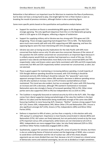Bottomline is that defence is an important issue for Morrison to maximise the flow of preferences, but he does not have a strong hand to play. One bright light for him is Peter Dutton is seen as breaking the mould of previous ministers, although Dutton is also a polarising figure.

Some more specific points based on the quantitative and qualitative analysis below:

- Support for sanctions on Russia is overwhelming 89% agree to 6% disagree with 71% strongly agreeing. The only significant departure from this is in the Nationalist grouping which is 52% agree to 31% disagree, reflecting a degree of isolationism
- Support for supplying military aid to Ukraine was less strong with 75% agree and 12% disagreeing. Those strongly supporting had dropped from 71% to 50%. The Nationalists were much more evenly split with only 43% supporting and 38% opposing, and here the opposing figures were the most interesting with 31% strongly opposing.
- Ukraine was seen as having security implications for the Indo-Pacific with 64% more concerned than before versus only 1% who were less concerned. Because of the nature of this question the 32% neither concerned nor unconcerned is an important figure because it is unlikely anyone would think our position had improved as a result of this war. On this question it was Liberals and Nationalists most likely to be more concerned (83% and 79% respectively). Labor and Greens voters were fairly nonchalant with 50% and 41% respectively concerned, but 46% and 52% respectively neither concerned nor unconcerned, so alert, but not alarmed.
- There is good support for maintaining or increasing defence spending. A small majority of 52% thought defence spending should be increased, with 31% thinking it should be maintained and only 10% thinking it should be reduced. The "peaceniks" were most apparent amongst Greens voters where 28% wanted a decrease in defence spending versus only 6% who wanted an increase. Even so 67% of Greens wanted defence at least maintained. This trend was also evident, but less so amongst ALP voters with 35% favouring an increase and 15% a decrease, although 79% wanted it maintained or increased. Nationalists were also strongly in favour of increased spending (76% to 5%). Other minor parties were also supportive (45% to 9%) but independents less so (31% to 19%).
- The Coalition is marginally favoured on national security by 41% to the ALP's 36%. The edge comes from Liberal supporters being overwhelmingly of the view the Coalition is the best (96% to 1% Labor) and the Nationalists being moderately strongly of the same view (69% favouring Coalition to none favouring ALP). However, "Neither" receives strong support from ALP 12%, Greens 30%, Independents 34%, Minor Other 27% and Nationalists 29%. Unsure is also significant amongst ALP (12%), Greens (17%), Independents (28%) and Minor Other Parties (45%).
- Defence is important to 49% of voters, just less than a majority, in this election with only 19% saying it is unimportant. Importance is most heavily concentrated in Liberals (85%) and Nationalists (57%). ALP voters are finely balanced, but not particularly turned-on by the issue (27% important versus 23% unimportant), while Greens are not interested at all (11% to 48%). Independents are more engaged than Labor, but also finely balanced (32% to 35%) and Minor Other Parties moderately engaged (36% to 18%).
- Qualitatively, support for sanctions tends to hang off a sense of justice for Ukraine, but there is also an underlying theme of historical context and the beginnings of WWII, also a concern to avoid direct confrontation and the risk of nuclear war. (All of this shows despite arguments we are more divided than ever that, because a lot of it is based on a shared sense of democratic norms and national sovereignty, we are not as divided as it might sometimes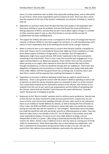seem.) It is also sometimes seen as better than physically sending troops, and an alternative to use of force, which many respondents want to avoid at all costs. There was also a sense that the response of the rest of the world is inadequate, so everyone, including us, needs to step-up.

- Opposition to sanctions stems from the idea that they hurt people in the population who have done nothing to cause the problem, and also that Russia has some justification in fearing expansion of NATO, and also that we don't worry about regime change in a number of other countries when it suits us. Also that Ukraine is corrupt and the corrupt US establishment has been meddling there.
- The support for military aid seems to be a consequence of the sense of outrage over Russia's invasion of Ukraine. While it is less than support for sanctions, it is still overwhelming, and it seems to most respondents that to do anything else would not be a proper response.
- When it comes to fears in our region there is concern that Ukraine could be a template for China with Taiwan, but if it ends badly for Russia that might put China's ambitions on hold. Some blame aspects of Western foreign policy. For example, that US ineptitude in Afghanistan might have caused Ukraine. Will similar ineptitude in the future precipitate something in the Indo-Pacific? There is also a view that Australia lacks engagement in our region and has failed to use diplomacy properly. Those neither more nor less concerned about security in our region often seemed to think that the Ukraine War had no flowthrough consequences, or that we should be friendly with our neighbours. There were also allegations of hypocrisy and inconsistency in that the Liberals were doing trade deals with China under Abbott, and that the government has cut foreign aid. A minority view is also that China's actions will be separate from anything that happens in Ukraine.
- Opposition to increases in defence spending include that we ought to spend more on diplomacy. There is also general concern with the waste in defence spending as well as lots of opinions on what the money should be spent on compared to what it is at the moment. This is particularly inspired by the asymmetric warfare in the Ukraine. Also concern at our isolation from the rest of war, lack of war preparedness and the futility of competing with the Chinese. Some think we shouldn't invest because the assets will become "stranded assets" because war is changing so quickly.
- Responses to the "Best to handle" question tend to reinforce party preference. Liberals look at how the ALP ran down investment under previous governments, suspect they are too close to China, and criticise their handling of border security. Labor point to the submarine fiasco as an inability to handle defence by Liberals, as well as leasing the Port of Darwin to China. Labor cite WWI and WWII and Vietnam to prove that Labor can handle the country during war and they also see the Coalition as "war mongers". Nationalists worry that Biden has made the world less safe and see border security as reflecting poorly on Labor. They also think the Labor Party is too friendly to the CCP. The US Alliance is also another issue with some respondents seeing a US rescue as our only viable defence strategy, and one independent of who is in power. Labor being in potential partnership with the Greens is a concern for others. Dutton a plus in defence as he is seen by many as a strong pair of hands, unlike his predecessors. Those favouring Labor rely on them being more diplomatic, and with a reputation for being peace-loving and less likely to take us to war. Libs also fare poorly from their defence procurement debacles, particularly the submarines.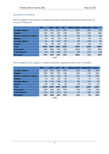# Quantitative Analysis

How strongly do you support or oppose Australia imposing sanctions on Russia over its invasion of Ukraine?

|                            | <b>ALP</b> | <b>Grns</b> | Ind  | <b>LP</b> | <b>Minor Other</b> | <b>Nationalist</b> | Total |  |  |
|----------------------------|------------|-------------|------|-----------|--------------------|--------------------|-------|--|--|
| <b>Strongly support</b>    | 72%        | 57%         | 61%  | 84%       | 82%                | 33%                | 71%   |  |  |
| <b>Support</b>             | 19%        | 31%         | 15%  | 13%       | 18%                | 19%                | 18%   |  |  |
| Neither support nor oppose | 6%         | 6%          | 9%   | 3%        | 0%                 | 12%                | 5%    |  |  |
| <b>Oppose</b>              | 2%         | 4%          | 3%   | 1%        | 0%                 | 7%                 | 2%    |  |  |
| <b>Strongly oppose</b>     | 2%         | 2%          | 12%  | 0%        | 0%                 | 24%                | 3%    |  |  |
| <b>Unsure</b>              | 1%         | 0%          | 0%   | 0%        | 0%                 | 5%                 | 1%    |  |  |
| <b>Total</b>               | 100%       | 100%        | 100% | 100%      | 100%               | 100%               | 100%  |  |  |
| <b>Total agree</b>         | 90%        | 89%         | 76%  | 96%       | 100%               | 52%                | 89%   |  |  |
| <b>Total disagree</b>      | 4%         | 6%          | 15%  | 1%        | 0%                 | 31%                | 6%    |  |  |
| <b>Net agree</b>           | 87%        | 83%         | 61%  | 95%       | 100%               | 21%                | 83%   |  |  |
| $-12$<br>$\sim$            |            |             |      |           |                    |                    |       |  |  |

n=542

## How strongly do you support or oppose Australia supplying military aid to Ukraine?

|                            | <b>ALP</b> | Grns | Ind  | LP   | <b>Minor Other</b> | <b>Nationalist</b> | <b>Total</b> |
|----------------------------|------------|------|------|------|--------------------|--------------------|--------------|
| <b>Strongly support</b>    | 47%        | 35%  | 36%  | 65%  | 55%                | 26%                | 50%          |
| <b>Support</b>             | 29%        | 30%  | 27%  | 22%  | 18%                | 17%                | 25%          |
| Neither support nor oppose | 11%        | 15%  | 12%  | 7%   | 27%                | 17%                | 11%          |
| <b>Oppose</b>              | 7%         | 6%   | 9%   | 5%   | 0%                 | 7%                 | 6%           |
| <b>Strongly oppose</b>     | 5%         | 11%  | 12%  | 1%   | 0%                 | 31%                | 7%           |
| <b>Unsure</b>              | 3%         | 4%   | 3%   | 1%   | 0%                 | 2%                 | 2%           |
| <b>Total</b>               | 100%       | 100% | 100% | 100% | 100%               | 100%               | 100%         |
| <b>Total agree</b>         | 76%        | 65%  | 64%  | 87%  | 73%                | 43%                | 75%          |
| <b>Total disagree</b>      | 12%        | 17%  | 21%  | 6%   | 0%                 | 38%                | 12%          |
| <b>Net agree</b>           | 64%        | 48%  | 42%  | 81%  | 73%                | 5%                 | 63%          |

n=542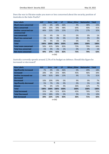Does the war in Ukraine make you more or less concerned about the security position of Australia in the Indo-Pacific?

| <b>Row Labels</b>            | <b>ALP</b> | <b>Grns</b> | Ind  | LP   | <b>Minor Other</b> | <b>Nationalist</b> | <b>Total</b> |
|------------------------------|------------|-------------|------|------|--------------------|--------------------|--------------|
| <b>Much more concerned</b>   | 15%        | 6%          | 18%  | 36%  | 9%                 | 38%                | 23%          |
| <b>More concerned</b>        | 35%        | 35%         | 39%  | 48%  | 64%                | 40%                | 41%          |
| <b>Neither concerned nor</b> | 46%        | 52%         | 33%  | 15%  | 27%                | 17%                | 32%          |
| unconcerned                  |            |             |      |      |                    |                    |              |
| <b>Less concerned</b>        | 1%         | 4%          | 3%   | 1%   | 0%                 | 0%                 | 1%           |
| <b>Much less concerned</b>   | 1%         | 0%          | 0%   | 0%   | 0%                 | 0%                 | 0%           |
| <b>Unsure</b>                | 3%         | 4%          | 6%   | 1%   | 0%                 | 5%                 | 2%           |
| <b>Total</b>                 | 100%       | 100%        | 100% | 100% | 100%               | 100%               | 100%         |
| <b>Total more concerned</b>  | 50%        | 41%         | 58%  | 83%  | 73%                | 79%                | 64%          |
| <b>Total less concerned</b>  | 1%         | 4%          | 3%   | 1%   | 0%                 | 0%                 | 1%           |
| Net more concerned           | 49%        | 37%         | 55%  | 82%  | 73%                | 79%                | 63%          |

n=542

## Australia currently spends around 2.2% of its budget on defence. Should this figure be increased or decreased?

| <b>Row Labels</b>              | <b>ALP</b> | Grns   | Ind  | LP   | Minor_Other | <b>Nationalist</b> | Total |
|--------------------------------|------------|--------|------|------|-------------|--------------------|-------|
| <b>Significantly increased</b> | 7%         | 0%     | 6%   | 36%  | 0%          | 29%                | 18%   |
| <b>Increased</b>               | 28%        | 6%     | 25%  | 48%  | 45%         | 46%                | 34%   |
| <b>Neither increased nor</b>   | 44%        | 61%    | 38%  | 13%  | 9%          | 7%                 | 31%   |
| decreased                      |            |        |      |      |             |                    |       |
| <b>Decreased</b>               | 10%        | 20%    | 19%  | 0%   | 9%          | 0%                 | 7%    |
| <b>Significantly decreased</b> | 5%         | 7%     | 0%   | 0%   | 0%          | 5%                 | 3%    |
| <b>Unsure</b>                  | 7%         | 6%     | 13%  | 4%   | 36%         | 12%                | 7%    |
| <b>Total</b>                   | 100%       | 100%   | 100% | 100% | 100%        | 100%               | 100%  |
| <b>Total Increased</b>         | 35%        | 6%     | 31%  | 83%  | 45%         | 76%                | 52%   |
| <b>Total Decreased</b>         | 15%        | 28%    | 19%  | 0%   | 9%          | 5%                 | 10%   |
| <b>Net Increased</b>           | 20%        | $-22%$ | 13%  | 83%  | 36%         | 71%                | 42%   |

n=542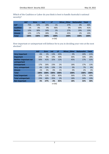Which of the Coalition or Labor do you think is best to handle Australia's national security?

|                  | <b>ALP</b> | Grns | Ind  | LP   | Other<br>Minor | <b>Nationalist</b> | Total |
|------------------|------------|------|------|------|----------------|--------------------|-------|
| <b>ALP</b>       | 75%        | 54%  | 28%  | 1%   | 27%            | 0%                 | 36%   |
| <b>Coalition</b> | 1%         | 0%   | 9%   | 96%  | 0%             | 69%                | 41%   |
| <b>Neither</b>   | 12%        | 30%  | 34%  | 1%   | 27%            | 29%                | 13%   |
| <b>Unsure</b>    | 12%        | 17%  | 28%  | 3%   | 45%            | 2%                 | 10%   |
| <b>Total</b>     | 100%       | 100% | 100% | 100% | 100%           | 100%               | 100%  |

n=542

How important or unimportant will defence be to you in deciding your vote at the next election?

|                              | <b>ALP</b> | <b>Grns</b> | Ind   | LP   | Minor_Other | <b>Nationalist</b> | Total |
|------------------------------|------------|-------------|-------|------|-------------|--------------------|-------|
| <b>Very important</b>        | 6%         | 2%          | 13%   | 45%  | 0%          | 24%                | 21%   |
| Important                    | 21%        | 9%          | 19%   | 40%  | 36%         | 33%                | 28%   |
| <b>Neither important nor</b> | 50%        | 41%         | 32%   | 12%  | 45%         | 17%                | 32%   |
| unimportant                  |            |             |       |      |             |                    |       |
| <b>Unimportant</b>           | 17%        | 26%         | 23%   | 2%   | 18%         | 17%                | 13%   |
| <b>Very unimportant</b>      | 6%         | 22%         | 13%   | 1%   | 0%          | 7%                 | 6%    |
| <b>Unsure</b>                | 1%         | 0%          | 0%    | 1%   | 0%          | 2%                 | 1%    |
| <b>Total</b>                 | 100%       | 100%        | 100%  | 100% | 100%        | 100%               | 100%  |
| <b>Total important</b>       | 27%        | 11%         | 32%   | 85%  | 36%         | 57%                | 49%   |
| <b>Total unimportant</b>     | 23%        | 48%         | 35%   | 2%   | 18%         | 24%                | 19%   |
| <b>Net important</b>         | 4%         | $-37%$      | $-3%$ | 83%  | 18%         | 33%                | 30%   |

n=542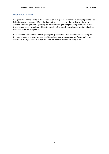# Qualitative Analysis

Our qualitative analysis looks at the reasons given by respondents for their various judgements. The following maps are generated from the data by Leximancer and overlay the key words over the variables from the question – generally the answer to the question plus voting intentions. Words that are most closely associated will cluster together. The most frequently used words are brighter than those used less frequently.

We do not edit the verbatims and all spelling and grammatical errors are reproduced. Editing the transcripts would take away from some of the unique tone of each response. The verbatims are selected so as to give a better insight into how the individual words are being used.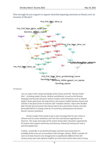How strongly do you support or oppose Australia imposing sanctions on Russia over its invasion of Ukraine?



#### *Verbatims*

*I am an expert with a deep knowledge of the history of all the "Russian lands" (Rus' - including today's Russia, Ukraine and Belarus), as well as the Russian language and Russian literature (which includes some Ukrainians such as Nikolai Gogol). Quite apart from the long history, the present conflict between Russia and Ukraine is the fault of the US neocons and "manifest destiny" clique who decided after the fall of communism that Russia had to be a permanent enemy, and who persuaded NATO to enlarge (now by 14 countries), putting bases all around Russia's western periphery.*

*Russia's leader Putin needs to get a clear message that his war crimes in Ukraine and his tsarist ambitions earn him the international opprobrium he deserves. The scope and range of the actions being taken should be supported by all nations that support democracy and decency instead of meeting war with a potential global war.*

*Frankly, I would like to see further/stronger sanctions but accept that it's probably better if we act in accordance with stronger nations. While I consider all wars to be bad, Russia's war of aggression is significantly different from the various proxy wars and regional conflicts of recent and current times and a strong*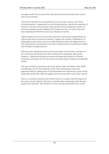*message needs to be sent from the international community that these actions will not be tolerated.*

*A few years ago Ukraine was declared the most corrupt country in the West, Levensky banned 11 opposition (non pro-Russian) parties, banned the speaking of Russian in Ukraine and massively repressed their Russian speaking minority inc massively stepping up the shelling of the Donbas this year. For years Putin has been pleading with NATO and EU to ley Ukraine be neutral.*

*Unfortunately we do not seem to have any other means of persuading Russia to pull out and stop its invasion of Ukraine. I support the Ukraine in fighting for its independence from Russia and am terribly shocked at what has happened; but I also understand a Russian desire to protect its flanks from encroachment by Nato and therefore US-aligned forces.*

*Sanctions have significant repercussions and impact in these times, and have to be a substitute for physical war when dealing with mad people with nuclear weapons. Crippling the Russian economy and imposing sanctions on Russian companies and people are the best way to minimise power and future possibilities of war.*

*The war on Ukraine reminds me too much of how Hitler was able to start WWII. Chamberlain, the UK Prime Minister at the time wanted peace talks and appeased Hitler by ceding parts of Czechoslovakia and only because of the strong leadership of Churchill, with the support of the US, Australia is now a free country.*

*Putin is a murderous butcher and criminal and he is in power with the support of the many corrupt oligarchs who have criminally taken advantage of the Russian people since Glasnost. They all deserve to be severely punished for their crimes.*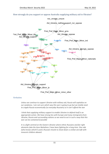## How strongly do you support or oppose Australia supplying military aid to Ukraine?



First Pref Major Minor minor other

## *Verbatims*

*Unless we continue to support Ukraine with military aid, Russia will capitalise on our weakness. I am not sure which way this war is going to go but we totally need to cripple Russia economically (so everyday Russians) so it can't afford the war*

*I think that supplying military support to enable Ukraine to defend itself is an appropriate action. We have strong ties with Europe and many immigrants from Ukraine, Russia and surrounding nations so we need to act in such a way that this war can be contained if possible*

*It is a fight centred on the Eastern Ukraine where ethnic Russians and far-right elements (aka the Azov Battalions ) have been fighting for a long time. One side (who knows which?) used a Russian missile to shoot down a civilian aircraft with innocent children aboard.*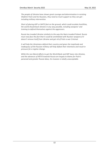*The people of Ukraine have shown great courage and determination in resisting Vladimir Putin and his Russians, they need as much support as they can get including military intervention.*

*Short of placing ADF or NATO feet on the ground, which could escalate hostilities, the world should back Ukraine in any way possible, including weapons' and training to defend themselves against the aggressors.*

*Russia has invaded Ukraine similarly to the way the Nazis invaded Poland. Russia must now face the fact that it could be annihilated with Nuclear weapons if it doesn't remove itself from Ukraine and get rid of Putin a war Criminal.*

*It will help the Ukrainians defend their country and given the ineptitude and inadequacy of the Russian military will help defeat their intentions and result in pressure for a regime change.*

*While the neo liberal efforts to get the World Bank and IMF loans into Ukraine, and the advances of NATO towards Russia are largely to blame for Putin's paranoid and greater Russia ideas, his invasion is totally unacceptable.*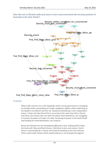Does the war in Ukraine make you more or less concerned about the security position of Australia in the Indo-Pacific?



## *Verbatims*

*What really concerns me is the ineptitude of the current government in managing our foreign policy, and putting our Pacific neighbours offside, whilst embroiling us too deeply in an alliance with the US, instead of maintaining a more independent stance. It does not help that all this is occurring at the same time that in Russia and China, two tyrants who rule with iron gloves have dominance, one struggling to increase its power in Europe, the other increasing its power in the South Pacific and heading for world domination, one suspects.*

*Russia and Ukraine are not immediately affecting us but, looking further down the track with China and North Korea, I find them to be a real concern. North Korea is commanded by a maniac and could do anything at any time whereas China could invade Taiwan which would really put a rat amongst the pigeons.*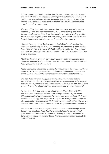*I do not support what Putin has done, but the west has been shown to be weak and has made some very stupid decisions regarding fuel security. Countries such as China will be watching a thinking it could be time to move on Taiwan, also China is in the process of negotiating an agreement with the Solomon Islands regarding a military base or port.*

*The issue of Ukraine is unlikely to spill over into our region unless the Peoples Republic of China becomes more assertive in the occupation of land in the Western Pacific and the China Seas. If the politburo sees the rest of the world as being weak and ineffective then there exists the possibility that the PRC will not hesitate to occupy lands that are currently part of another country.*

*Although I do not support Western intervention in Ukraine, I do see that the indecisive vacillation by the West, and bumbling incompetence of Biden and his fool VP Kamala Harris, project WEAKNESS and lack of will by the West - a lesson which will not be lost of China's Xi, who (unlike Putin) DOES aspire for China to be a world hegemon.*

*I think the American empire is losing power, and the authoritarian regimes in China and India and Russia and other countries pose a security threat in Asia and Pacific, exacerbated by climate crisis*

*Russia and China's relationship is akin to the axis powers in the second world war. Russia is fast becoming a vassal state of China which likewise has expansionist ambitions in the Indo Pacific region in conjunction with its global ambitions.*

*The idea that Australia is a big player on the international stage is stupid - Australia's support for Ukraine could well have consequences with other regional players who are prepared to look dispassionately at the Russian side. (but no here we go following the US part of the new world order and great reset perhaps?*

*By not even telling their allies of the withdrawal and by making the Taliban potentially the best equipped army in the world (outside the US, Russia and China), Biden effectively emboldened Putin but, more disconcertingly, Xi. Taiwan now becomes the biggest issue for Australia (and the world) because if they are attacked, military issues are magnified massively - but equally, 90% of the world's advanced chips are suddenly threatened which brings down the world economy!*

*The world has one to a very dangerous place pandemic, climate change and no the very real threat of a Third World War. I also believe the current federal government has contributed to this with its inability to recognise the need to build close, strong relationships with our Pacific neighbours and its huge cuts to international aid .*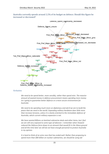Australia currently spends around 2.2% of its budget on defence. Should this figure be increased or decreased?



## *Verbatims*

*We need to be spend better, more sensibly, rather than spend mire. The massive amount of wasted money in defence procurement means spending more money isn t going to guarantee better defence or a more secure environment for Australia*

*We need to be spending much more on diplomacy and aid if we are to build the peace that we need in the world. Expanding military hardware does little more than increase tensions, unless it is clearly oriented to the immediate defence of Australia, which current military expansion is not.*

*We have wasted Billions on botched submarine deals and other items, but I feel we are still very exposed to some type of takeover. I remember when Howard reduced the Defence force down to an amount that would fit in the Waca ground and all this time later we still do not have enough personnel to protect Australia in my opinion.*

*It is hard to think of an arms race that has ended well. Rather than proposing to spend more than \$80 billion on nuclear submarines, we should be using aid*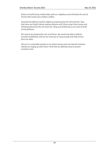*finance to build strong relationships with our neighbours and eliminate the sort of tension that could cause military conflict.*

*Australia has failed to build its defences properly givne the Chna threats. Now that there are Pacific Islands making alliances with China using China money and whinging about how the sea levels are rising up and blaming us we need to build strong defences.*

*We need to be prepared for war at all times. We need to be able to defend ourselves indefinitely until we are victorious or long enough until help arrives from our allies.*

*We are in a vulnerable position as an island country and now that the Solomon Islands are singing up with China I think that we definitily need to protect ourselves more.*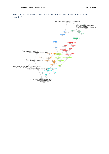

Which of the Coalition or Labor do you think is best to handle Australia's national security?